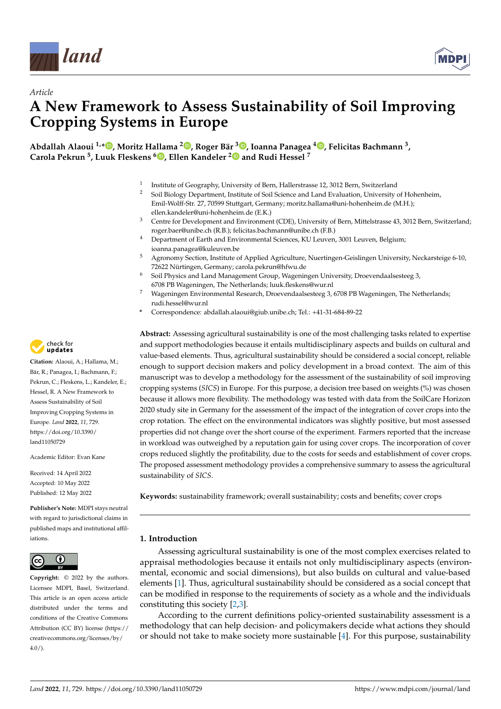

*Article*



# **A New Framework to Assess Sustainability of Soil Improving Cropping Systems in Europe**

**Abdallah Alaoui 1,[\\*](https://orcid.org/0000-0003-0473-1612) , Moritz Hallama <sup>2</sup> [,](https://orcid.org/0000-0003-4209-6760) Roger Bär <sup>3</sup> [,](https://orcid.org/0000-0002-8741-4657) Ioanna Panagea <sup>4</sup> [,](https://orcid.org/0000-0003-4813-2291) Felicitas Bachmann <sup>3</sup> , Carola Pekrun <sup>5</sup> , Luuk Fleskens <sup>6</sup> [,](https://orcid.org/0000-0001-6843-0910) Ellen Kandeler [2](https://orcid.org/0000-0002-2854-0012) and Rudi Hessel <sup>7</sup>**

- 1 Institute of Geography, University of Bern, Hallerstrasse 12, 3012 Bern, Switzerland
- <sup>2</sup> Soil Biology Department, Institute of Soil Science and Land Evaluation, University of Hohenheim, Emil-Wolff-Str. 27, 70599 Stuttgart, Germany; moritz.hallama@uni-hohenheim.de (M.H.); ellen.kandeler@uni-hohenheim.de (E.K.)
- <sup>3</sup> Centre for Development and Environment (CDE), University of Bern, Mittelstrasse 43, 3012 Bern, Switzerland; roger.baer@unibe.ch (R.B.); felicitas.bachmann@unibe.ch (F.B.)
- <sup>4</sup> Department of Earth and Environmental Sciences, KU Leuven, 3001 Leuven, Belgium; ioanna.panagea@kuleuven.be
- <sup>5</sup> Agronomy Section, Institute of Applied Agriculture, Nuertingen-Geislingen University, Neckarsteige 6-10, 72622 Nürtingen, Germany; carola.pekrun@hfwu.de
- <sup>6</sup> Soil Physics and Land Management Group, Wageningen University, Droevendaalsesteeg 3, 6708 PB Wageningen, The Netherlands; luuk.fleskens@wur.nl
- <sup>7</sup> Wageningen Environmental Research, Droevendaalsesteeg 3, 6708 PB Wageningen, The Netherlands; rudi.hessel@wur.nl
- **\*** Correspondence: abdallah.alaoui@giub.unibe.ch; Tel.: +41-31-684-89-22

**Abstract:** Assessing agricultural sustainability is one of the most challenging tasks related to expertise and support methodologies because it entails multidisciplinary aspects and builds on cultural and value-based elements. Thus, agricultural sustainability should be considered a social concept, reliable enough to support decision makers and policy development in a broad context. The aim of this manuscript was to develop a methodology for the assessment of the sustainability of soil improving cropping systems (*SICS*) in Europe. For this purpose, a decision tree based on weights (%) was chosen because it allows more flexibility. The methodology was tested with data from the SoilCare Horizon 2020 study site in Germany for the assessment of the impact of the integration of cover crops into the crop rotation. The effect on the environmental indicators was slightly positive, but most assessed properties did not change over the short course of the experiment. Farmers reported that the increase in workload was outweighed by a reputation gain for using cover crops. The incorporation of cover crops reduced slightly the profitability, due to the costs for seeds and establishment of cover crops. The proposed assessment methodology provides a comprehensive summary to assess the agricultural sustainability of *SICS*.

**Keywords:** sustainability framework; overall sustainability; costs and benefits; cover crops

## **1. Introduction**

Assessing agricultural sustainability is one of the most complex exercises related to appraisal methodologies because it entails not only multidisciplinary aspects (environmental, economic and social dimensions), but also builds on cultural and value-based elements [\[1\]](#page-13-0). Thus, agricultural sustainability should be considered as a social concept that can be modified in response to the requirements of society as a whole and the individuals constituting this society [\[2,](#page-13-1)[3\]](#page-13-2).

According to the current definitions policy-oriented sustainability assessment is a methodology that can help decision- and policymakers decide what actions they should or should not take to make society more sustainable [\[4\]](#page-13-3). For this purpose, sustainability



**Citation:** Alaoui, A.; Hallama, M.; Bär, R.; Panagea, I.; Bachmann, F.; Pekrun, C.; Fleskens, L.; Kandeler, E.; Hessel, R. A New Framework to Assess Sustainability of Soil Improving Cropping Systems in Europe. *Land* **2022**, *11*, 729. [https://doi.org/10.3390/](https://doi.org/10.3390/land11050729) [land11050729](https://doi.org/10.3390/land11050729)

Academic Editor: Evan Kane

Received: 14 April 2022 Accepted: 10 May 2022 Published: 12 May 2022

**Publisher's Note:** MDPI stays neutral with regard to jurisdictional claims in published maps and institutional affiliations.



**Copyright:** © 2022 by the authors. Licensee MDPI, Basel, Switzerland. This article is an open access article distributed under the terms and conditions of the Creative Commons Attribution (CC BY) license [\(https://](https://creativecommons.org/licenses/by/4.0/) [creativecommons.org/licenses/by/](https://creativecommons.org/licenses/by/4.0/)  $4.0/$ ).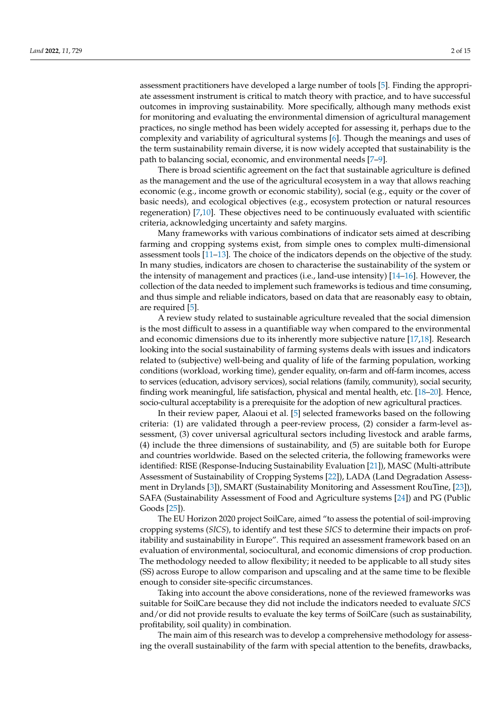assessment practitioners have developed a large number of tools [\[5\]](#page-13-4). Finding the appropriate assessment instrument is critical to match theory with practice, and to have successful outcomes in improving sustainability. More specifically, although many methods exist for monitoring and evaluating the environmental dimension of agricultural management practices, no single method has been widely accepted for assessing it, perhaps due to the complexity and variability of agricultural systems [\[6\]](#page-13-5). Though the meanings and uses of the term sustainability remain diverse, it is now widely accepted that sustainability is the path to balancing social, economic, and environmental needs [\[7–](#page-13-6)[9\]](#page-13-7).

There is broad scientific agreement on the fact that sustainable agriculture is defined as the management and the use of the agricultural ecosystem in a way that allows reaching economic (e.g., income growth or economic stability), social (e.g., equity or the cover of basic needs), and ecological objectives (e.g., ecosystem protection or natural resources regeneration) [\[7](#page-13-6)[,10\]](#page-13-8). These objectives need to be continuously evaluated with scientific criteria, acknowledging uncertainty and safety margins.

Many frameworks with various combinations of indicator sets aimed at describing farming and cropping systems exist, from simple ones to complex multi-dimensional assessment tools [\[11–](#page-13-9)[13\]](#page-13-10). The choice of the indicators depends on the objective of the study. In many studies, indicators are chosen to characterise the sustainability of the system or the intensity of management and practices (i.e., land-use intensity)  $[14–16]$  $[14–16]$ . However, the collection of the data needed to implement such frameworks is tedious and time consuming, and thus simple and reliable indicators, based on data that are reasonably easy to obtain, are required [\[5\]](#page-13-4).

A review study related to sustainable agriculture revealed that the social dimension is the most difficult to assess in a quantifiable way when compared to the environmental and economic dimensions due to its inherently more subjective nature [\[17](#page-13-13)[,18\]](#page-13-14). Research looking into the social sustainability of farming systems deals with issues and indicators related to (subjective) well-being and quality of life of the farming population, working conditions (workload, working time), gender equality, on-farm and off-farm incomes, access to services (education, advisory services), social relations (family, community), social security, finding work meaningful, life satisfaction, physical and mental health, etc. [\[18](#page-13-14)[–20\]](#page-13-15). Hence, socio-cultural acceptability is a prerequisite for the adoption of new agricultural practices.

In their review paper, Alaoui et al. [\[5\]](#page-13-4) selected frameworks based on the following criteria: (1) are validated through a peer-review process, (2) consider a farm-level assessment, (3) cover universal agricultural sectors including livestock and arable farms, (4) include the three dimensions of sustainability, and (5) are suitable both for Europe and countries worldwide. Based on the selected criteria, the following frameworks were identified: RISE (Response-Inducing Sustainability Evaluation [\[21\]](#page-13-16)), MASC (Multi-attribute Assessment of Sustainability of Cropping Systems [\[22\]](#page-13-17)), LADA (Land Degradation Assessment in Drylands [\[3\]](#page-13-2)), SMART (Sustainability Monitoring and Assessment RouTine, [\[23\]](#page-13-18)), SAFA (Sustainability Assessment of Food and Agriculture systems [\[24\]](#page-13-19)) and PG (Public Goods [\[25\]](#page-13-20)).

The EU Horizon 2020 project SoilCare, aimed "to assess the potential of soil-improving cropping systems (*SICS*), to identify and test these *SICS* to determine their impacts on profitability and sustainability in Europe". This required an assessment framework based on an evaluation of environmental, sociocultural, and economic dimensions of crop production. The methodology needed to allow flexibility; it needed to be applicable to all study sites (SS) across Europe to allow comparison and upscaling and at the same time to be flexible enough to consider site-specific circumstances.

Taking into account the above considerations, none of the reviewed frameworks was suitable for SoilCare because they did not include the indicators needed to evaluate *SICS* and/or did not provide results to evaluate the key terms of SoilCare (such as sustainability, profitability, soil quality) in combination.

The main aim of this research was to develop a comprehensive methodology for assessing the overall sustainability of the farm with special attention to the benefits, drawbacks,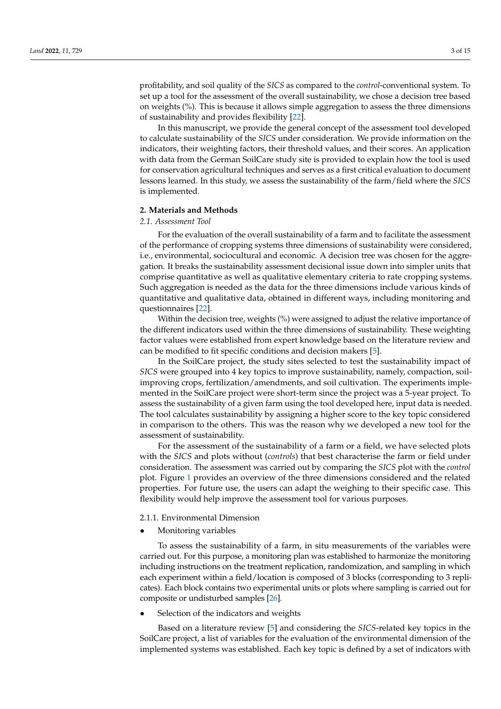profitability, and soil quality of the *SICS* as compared to the *control*-conventional system. To set up a tool for the assessment of the overall sustainability, we chose a decision tree based on weights (%). This is because it allows simple aggregation to assess the three dimensions of sustainability and provides flexibility [\[22\]](#page-13-17).

In this manuscript, we provide the general concept of the assessment tool developed to calculate sustainability of the *SICS* under consideration. We provide information on the indicators, their weighting factors, their threshold values, and their scores. An application with data from the German SoilCare study site is provided to explain how the tool is used for conservation agricultural techniques and serves as a first critical evaluation to document lessons learned. In this study, we assess the sustainability of the farm/field where the *SICS* is implemented.

## **2. Materials and Methods**

#### *2.1. Assessment Tool*

For the evaluation of the overall sustainability of a farm and to facilitate the assessment of the performance of cropping systems three dimensions of sustainability were considered, i.e., environmental, sociocultural and economic. A decision tree was chosen for the aggregation. It breaks the sustainability assessment decisional issue down into simpler units that comprise quantitative as well as qualitative elementary criteria to rate cropping systems. Such aggregation is needed as the data for the three dimensions include various kinds of quantitative and qualitative data, obtained in different ways, including monitoring and questionnaires [\[22\]](#page-13-17).

Within the decision tree, weights (%) were assigned to adjust the relative importance of the different indicators used within the three dimensions of sustainability. These weighting factor values were established from expert knowledge based on the literature review and can be modified to fit specific conditions and decision makers [\[5\]](#page-13-4).

In the SoilCare project, the study sites selected to test the sustainability impact of *SICS* were grouped into 4 key topics to improve sustainability, namely, compaction, soilimproving crops, fertilization/amendments, and soil cultivation. The experiments implemented in the SoilCare project were short-term since the project was a 5-year project. To assess the sustainability of a given farm using the tool developed here, input data is needed. The tool calculates sustainability by assigning a higher score to the key topic considered in comparison to the others. This was the reason why we developed a new tool for the assessment of sustainability.

For the assessment of the sustainability of a farm or a field, we have selected plots with the *SICS* and plots without (*controls*) that best characterise the farm or field under consideration. The assessment was carried out by comparing the *SICS* plot with the *control* plot. Figure [1](#page-3-0) provides an overview of the three dimensions considered and the related properties. For future use, the users can adapt the weighing to their specific case. This flexibility would help improve the assessment tool for various purposes.

#### 2.1.1. Environmental Dimension

• Monitoring variables

To assess the sustainability of a farm, in situ measurements of the variables were carried out. For this purpose, a monitoring plan was established to harmonize the monitoring including instructions on the treatment replication, randomization, and sampling in which each experiment within a field/location is composed of 3 blocks (corresponding to 3 replicates). Each block contains two experimental units or plots where sampling is carried out for composite or undisturbed samples [\[26\]](#page-13-21).

Selection of the indicators and weights

Based on a literature review [\[5\]](#page-13-4) and considering the *SICS*-related key topics in the SoilCare project, a list of variables for the evaluation of the environmental dimension of the implemented systems was established. Each key topic is defined by a set of indicators with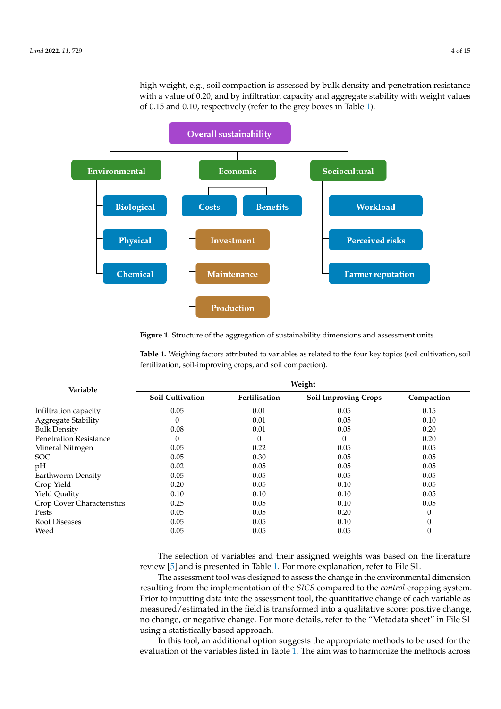high weight, e.g., soil compaction is assessed by bulk density and penetration resistance with a value of 0.20, and by infiltration capacity and aggregate stability with weight values of 0.15 and 0.10, respectively (refer to the grey boxes in Table [1\)](#page-3-1).

<span id="page-3-0"></span>

**Figure 1.** Structure of the aggregation of sustainability dimensions and assessment units. **Figure 1.** Structure of the aggregation of sustainability dimensions and assessment units.

| Variable                      | Weight                  |               |                             |            |
|-------------------------------|-------------------------|---------------|-----------------------------|------------|
|                               | <b>Soil Cultivation</b> | Fertilisation | <b>Soil Improving Crops</b> | Compaction |
| Infiltration capacity         | 0.05                    | 0.01          | 0.05                        | 0.15       |
| Aggregate Stability           | $\theta$                | 0.01          | 0.05                        | 0.10       |
| <b>Bulk Density</b>           | 0.08                    | 0.01          | 0.05                        | 0.20       |
| <b>Penetration Resistance</b> | 0                       | $\Omega$      |                             | 0.20       |
| Mineral Nitrogen              | 0.05                    | 0.22          | 0.05                        | 0.05       |
| <b>SOC</b>                    | 0.05                    | 0.30          | 0.05                        | 0.05       |
| pH                            | 0.02                    | 0.05          | 0.05                        | 0.05       |
| Earthworm Density             | 0.05                    | 0.05          | 0.05                        | 0.05       |
| Crop Yield                    | 0.20                    | 0.05          | 0.10                        | 0.05       |
| Yield Quality                 | 0.10                    | 0.10          | 0.10                        | 0.05       |
| Crop Cover Characteristics    | 0.25                    | 0.05          | 0.10                        | 0.05       |
| Pests                         | 0.05                    | 0.05          | 0.20                        | $\Omega$   |
| Root Diseases                 | 0.05                    | 0.05          | 0.10                        | $\Omega$   |
| Weed                          | 0.05                    | 0.05          | 0.05                        | $\theta$   |

<span id="page-3-1"></span>Table 1. Weighing factors attributed to variables as related to the four key topics (soil cultivation, soil fertilization, soil-improving crops, and soil compaction).

The selection of variables and their assigned weights was based on the literature review [\[5\]](#page-13-4) and is presented in Table [1.](#page-3-1) For more explanation, refer to File S1.

The assessment tool was designed to assess the change in the environmental dimension Prior to inputting data into the assessment tool, the quantitative change of each variable as measured/estimated in the field is transformed into a qualitative score: positive change, no change, or negative change. For more details, refer to the "Metadata sheet" in File S1 using a statistically based approach. resulting from the implementation of the *SICS* compared to the *control* cropping system.

In this tool, an additional option suggests the appropriate methods to be used for the evaluation of the variables listed in Table 1. The aim was to harmonize the methods across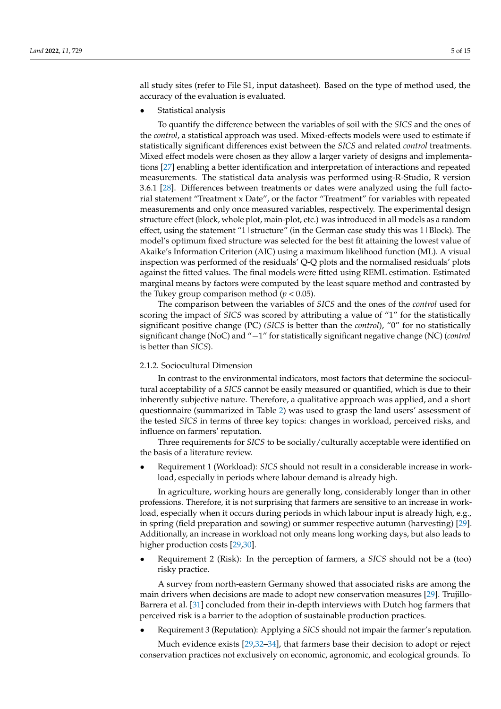all study sites (refer to File S1, input datasheet). Based on the type of method used, the accuracy of the evaluation is evaluated.

• Statistical analysis

To quantify the difference between the variables of soil with the *SICS* and the ones of the *control*, a statistical approach was used. Mixed-effects models were used to estimate if statistically significant differences exist between the *SICS* and related *control* treatments. Mixed effect models were chosen as they allow a larger variety of designs and implementations [\[27\]](#page-13-22) enabling a better identification and interpretation of interactions and repeated measurements. The statistical data analysis was performed using-R-Studio, R version 3.6.1 [\[28\]](#page-13-23). Differences between treatments or dates were analyzed using the full factorial statement "Treatment x Date", or the factor "Treatment" for variables with repeated measurements and only once measured variables, respectively. The experimental design structure effect (block, whole plot, main-plot, etc.) was introduced in all models as a random effect, using the statement "1 | structure" (in the German case study this was 1 | Block). The model's optimum fixed structure was selected for the best fit attaining the lowest value of Akaike's Information Criterion (AIC) using a maximum likelihood function (ML). A visual inspection was performed of the residuals' Q-Q plots and the normalised residuals' plots against the fitted values. The final models were fitted using REML estimation. Estimated marginal means by factors were computed by the least square method and contrasted by the Tukey group comparison method ( $p < 0.05$ ).

The comparison between the variables of *SICS* and the ones of the *control* used for scoring the impact of *SICS* was scored by attributing a value of "1" for the statistically significant positive change (PC) *(SICS* is better than the *control*), "0" for no statistically significant change (NoC) and "−1" for statistically significant negative change (NC) (*control* is better than *SICS*).

#### 2.1.2. Sociocultural Dimension

In contrast to the environmental indicators, most factors that determine the sociocultural acceptability of a *SICS* cannot be easily measured or quantified, which is due to their inherently subjective nature. Therefore, a qualitative approach was applied, and a short questionnaire (summarized in Table [2\)](#page-5-0) was used to grasp the land users' assessment of the tested *SICS* in terms of three key topics: changes in workload, perceived risks, and influence on farmers' reputation.

Three requirements for *SICS* to be socially/culturally acceptable were identified on the basis of a literature review.

• Requirement 1 (Workload): *SICS* should not result in a considerable increase in workload, especially in periods where labour demand is already high.

In agriculture, working hours are generally long, considerably longer than in other professions. Therefore, it is not surprising that farmers are sensitive to an increase in workload, especially when it occurs during periods in which labour input is already high, e.g., in spring (field preparation and sowing) or summer respective autumn (harvesting) [\[29\]](#page-14-0). Additionally, an increase in workload not only means long working days, but also leads to higher production costs [\[29,](#page-14-0)[30\]](#page-14-1).

• Requirement 2 (Risk): In the perception of farmers, a *SICS* should not be a (too) risky practice.

A survey from north-eastern Germany showed that associated risks are among the main drivers when decisions are made to adopt new conservation measures [\[29\]](#page-14-0). Trujillo-Barrera et al. [\[31\]](#page-14-2) concluded from their in-depth interviews with Dutch hog farmers that perceived risk is a barrier to the adoption of sustainable production practices.

• Requirement 3 (Reputation): Applying a *SICS* should not impair the farmer's reputation.

Much evidence exists [\[29](#page-14-0)[,32](#page-14-3)[–34\]](#page-14-4), that farmers base their decision to adopt or reject conservation practices not exclusively on economic, agronomic, and ecological grounds. To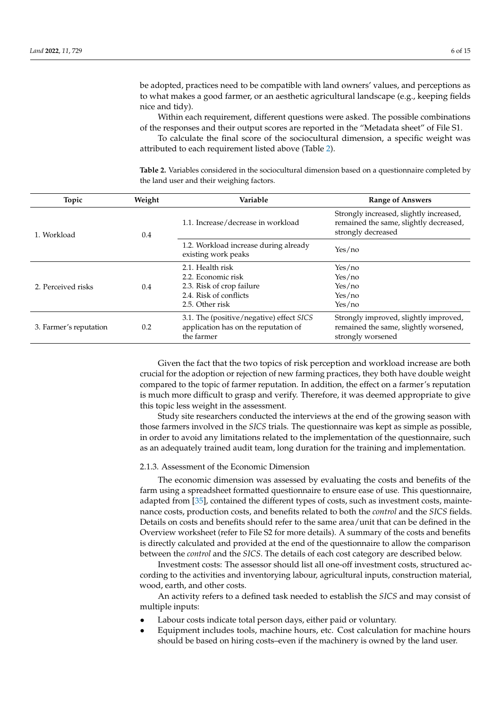be adopted, practices need to be compatible with land owners' values, and perceptions as to what makes a good farmer, or an aesthetic agricultural landscape (e.g., keeping fields nice and tidy).

Within each requirement, different questions were asked. The possible combinations of the responses and their output scores are reported in the "Metadata sheet" of File S1.

To calculate the final score of the sociocultural dimension, a specific weight was attributed to each requirement listed above (Table [2\)](#page-5-0).

| Topic                  | Weight | Variable                                                                                       | <b>Range of Answers</b>                                                                                 |
|------------------------|--------|------------------------------------------------------------------------------------------------|---------------------------------------------------------------------------------------------------------|
| 1. Workload            | 0.4    | 1.1. Increase/decrease in workload                                                             | Strongly increased, slightly increased,<br>remained the same, slightly decreased,<br>strongly decreased |
|                        |        | 1.2. Workload increase during already<br>existing work peaks                                   | Yes/no                                                                                                  |
| 2. Perceived risks     |        | 2.1. Health risk                                                                               | Yes/no                                                                                                  |
|                        |        | 2.2. Economic risk                                                                             | Yes/no                                                                                                  |
|                        | 0.4    | 2.3. Risk of crop failure                                                                      | Yes/no                                                                                                  |
|                        |        | 2.4. Risk of conflicts                                                                         | Yes/no                                                                                                  |
|                        |        | 2.5. Other risk                                                                                | Yes/no                                                                                                  |
| 3. Farmer's reputation | 0.2    | 3.1. The (positive/negative) effect SICS<br>application has on the reputation of<br>the farmer | Strongly improved, slightly improved,<br>remained the same, slightly worsened,<br>strongly worsened     |

<span id="page-5-0"></span>**Table 2.** Variables considered in the sociocultural dimension based on a questionnaire completed by the land user and their weighing factors.

Given the fact that the two topics of risk perception and workload increase are both crucial for the adoption or rejection of new farming practices, they both have double weight compared to the topic of farmer reputation. In addition, the effect on a farmer's reputation is much more difficult to grasp and verify. Therefore, it was deemed appropriate to give this topic less weight in the assessment.

Study site researchers conducted the interviews at the end of the growing season with those farmers involved in the *SICS* trials. The questionnaire was kept as simple as possible, in order to avoid any limitations related to the implementation of the questionnaire, such as an adequately trained audit team, long duration for the training and implementation.

#### 2.1.3. Assessment of the Economic Dimension

The economic dimension was assessed by evaluating the costs and benefits of the farm using a spreadsheet formatted questionnaire to ensure ease of use. This questionnaire, adapted from [\[35\]](#page-14-5), contained the different types of costs, such as investment costs, maintenance costs, production costs, and benefits related to both the *control* and the *SICS* fields. Details on costs and benefits should refer to the same area/unit that can be defined in the Overview worksheet (refer to File S2 for more details). A summary of the costs and benefits is directly calculated and provided at the end of the questionnaire to allow the comparison between the *control* and the *SICS*. The details of each cost category are described below.

Investment costs: The assessor should list all one-off investment costs, structured according to the activities and inventorying labour, agricultural inputs, construction material, wood, earth, and other costs.

An activity refers to a defined task needed to establish the *SICS* and may consist of multiple inputs:

- Labour costs indicate total person days, either paid or voluntary.
- Equipment includes tools, machine hours, etc. Cost calculation for machine hours should be based on hiring costs–even if the machinery is owned by the land user.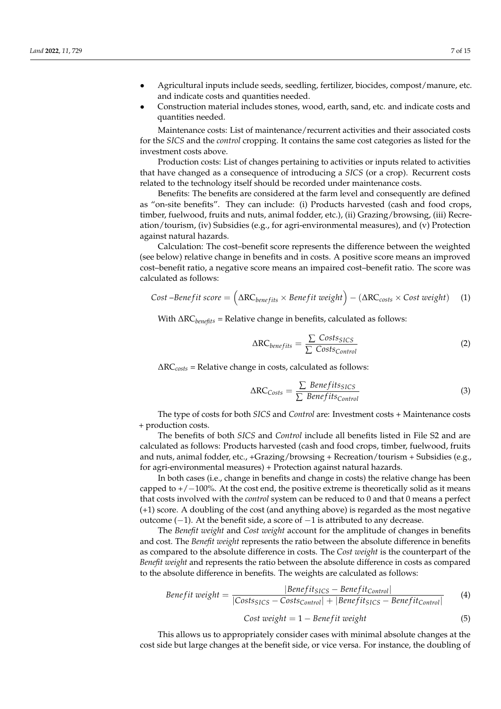- Agricultural inputs include seeds, seedling, fertilizer, biocides, compost/manure, etc. and indicate costs and quantities needed.
- Construction material includes stones, wood, earth, sand, etc. and indicate costs and quantities needed.

Maintenance costs: List of maintenance/recurrent activities and their associated costs for the *SICS* and the *control* cropping. It contains the same cost categories as listed for the investment costs above.

Production costs: List of changes pertaining to activities or inputs related to activities that have changed as a consequence of introducing a *SICS* (or a crop). Recurrent costs related to the technology itself should be recorded under maintenance costs.

Benefits: The benefits are considered at the farm level and consequently are defined as "on-site benefits". They can include: (i) Products harvested (cash and food crops, timber, fuelwood, fruits and nuts, animal fodder, etc.), (ii) Grazing/browsing, (iii) Recreation/tourism, (iv) Subsidies (e.g., for agri-environmental measures), and (v) Protection against natural hazards.

Calculation: The cost–benefit score represents the difference between the weighted (see below) relative change in benefits and in costs. A positive score means an improved cost–benefit ratio, a negative score means an impaired cost–benefit ratio. The score was calculated as follows:

$$
Cost-Benefit score = (\Delta RC_{benefits} \times Benefit weight) - (\Delta RC_{costs} \times Cost weight)
$$
 (1)

With ∆RC*benefits* = Relative change in benefits, calculated as follows:

$$
\Delta RC_{benefits} = \frac{\sum Cost s_{SICS}}{\sum Cost s_{Control}}
$$
 (2)

∆RC*costs* = Relative change in costs, calculated as follows:

$$
\Delta RC_{Costs} = \frac{\sum \text{Benefits}_{SICS}}{\sum \text{Benefits}_{Control}}
$$
(3)

The type of costs for both *SICS* and *Control* are: Investment costs + Maintenance costs + production costs.

The benefits of both *SICS* and *Control* include all benefits listed in File S2 and are calculated as follows: Products harvested (cash and food crops, timber, fuelwood, fruits and nuts, animal fodder, etc., +Grazing/browsing + Recreation/tourism + Subsidies (e.g., for agri-environmental measures) + Protection against natural hazards.

In both cases (i.e., change in benefits and change in costs) the relative change has been capped to  $+/-100\%$ . At the cost end, the positive extreme is theoretically solid as it means that costs involved with the *control* system can be reduced to 0 and that 0 means a perfect (+1) score. A doubling of the cost (and anything above) is regarded as the most negative outcome (−1). At the benefit side, a score of −1 is attributed to any decrease.

The *Benefit weight* and *Cost weight* account for the amplitude of changes in benefits and cost. The *Benefit weight* represents the ratio between the absolute difference in benefits as compared to the absolute difference in costs. The *Cost weight* is the counterpart of the *Benefit weight* and represents the ratio between the absolute difference in costs as compared to the absolute difference in benefits. The weights are calculated as follows:

*Benefit* 
$$
weight = \frac{|Benefit_{SICS} - Benefit_{Control}|}{|Costs_{SICS} - Costs_{Control}| + |Benefit_{SICS} - Benefit_{Control}|}
$$
(4)

$$
Cost weight = 1 - Benefit weight \tag{5}
$$

This allows us to appropriately consider cases with minimal absolute changes at the cost side but large changes at the benefit side, or vice versa. For instance, the doubling of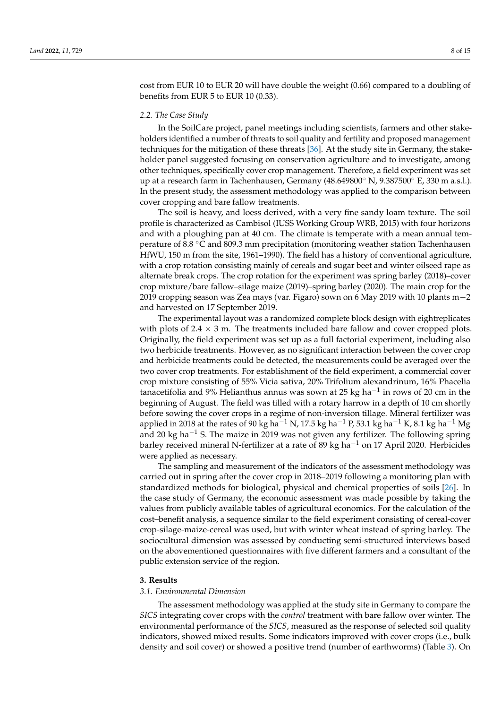cost from EUR 10 to EUR 20 will have double the weight (0.66) compared to a doubling of benefits from EUR 5 to EUR 10 (0.33).

#### *2.2. The Case Study*

In the SoilCare project, panel meetings including scientists, farmers and other stakeholders identified a number of threats to soil quality and fertility and proposed management techniques for the mitigation of these threats [\[36\]](#page-14-6). At the study site in Germany, the stakeholder panel suggested focusing on conservation agriculture and to investigate, among other techniques, specifically cover crop management. Therefore, a field experiment was set up at a research farm in Tachenhausen, Germany  $(48.649800°\ N, 9.387500°\ E, 330\ m\ a.s.1.)$ . In the present study, the assessment methodology was applied to the comparison between cover cropping and bare fallow treatments.

The soil is heavy, and loess derived, with a very fine sandy loam texture. The soil profile is characterized as Cambisol (IUSS Working Group WRB, 2015) with four horizons and with a ploughing pan at 40 cm. The climate is temperate with a mean annual temperature of 8.8 ◦C and 809.3 mm precipitation (monitoring weather station Tachenhausen HfWU, 150 m from the site, 1961–1990). The field has a history of conventional agriculture, with a crop rotation consisting mainly of cereals and sugar beet and winter oilseed rape as alternate break crops. The crop rotation for the experiment was spring barley (2018)–cover crop mixture/bare fallow–silage maize (2019)–spring barley (2020). The main crop for the 2019 cropping season was Zea mays (var. Figaro) sown on 6 May 2019 with 10 plants m−2 and harvested on 17 September 2019.

The experimental layout was a randomized complete block design with eightreplicates with plots of  $2.4 \times 3$  m. The treatments included bare fallow and cover cropped plots. Originally, the field experiment was set up as a full factorial experiment, including also two herbicide treatments. However, as no significant interaction between the cover crop and herbicide treatments could be detected, the measurements could be averaged over the two cover crop treatments. For establishment of the field experiment, a commercial cover crop mixture consisting of 55% Vicia sativa, 20% Trifolium alexandrinum, 16% Phacelia tanacetifolia and 9% Helianthus annus was sown at 25 kg ha $^{-1}$  in rows of 20 cm in the beginning of August. The field was tilled with a rotary harrow in a depth of 10 cm shortly before sowing the cover crops in a regime of non-inversion tillage. Mineral fertilizer was applied in 2018 at the rates of 90 kg ha<sup>-1</sup> N, 17.5 kg ha<sup>-1</sup> P, 53.1 kg ha<sup>-1</sup> K, 8.1 kg ha<sup>-1</sup> Mg and 20 kg ha<sup> $-1$ </sup> S. The maize in 2019 was not given any fertilizer. The following spring barley received mineral N-fertilizer at a rate of 89 kg ha<sup> $-1$ </sup> on 17 April 2020. Herbicides were applied as necessary.

The sampling and measurement of the indicators of the assessment methodology was carried out in spring after the cover crop in 2018–2019 following a monitoring plan with standardized methods for biological, physical and chemical properties of soils [\[26\]](#page-13-21). In the case study of Germany, the economic assessment was made possible by taking the values from publicly available tables of agricultural economics. For the calculation of the cost–benefit analysis, a sequence similar to the field experiment consisting of cereal-cover crop-silage-maize-cereal was used, but with winter wheat instead of spring barley. The sociocultural dimension was assessed by conducting semi-structured interviews based on the abovementioned questionnaires with five different farmers and a consultant of the public extension service of the region.

#### **3. Results**

#### *3.1. Environmental Dimension*

The assessment methodology was applied at the study site in Germany to compare the *SICS* integrating cover crops with the *control* treatment with bare fallow over winter. The environmental performance of the *SICS*, measured as the response of selected soil quality indicators, showed mixed results. Some indicators improved with cover crops (i.e., bulk density and soil cover) or showed a positive trend (number of earthworms) (Table [3\)](#page-8-0). On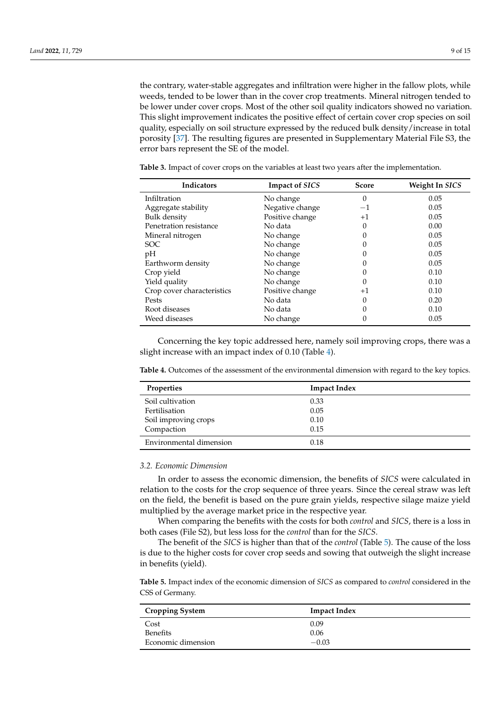the contrary, water-stable aggregates and infiltration were higher in the fallow plots, while weeds, tended to be lower than in the cover crop treatments. Mineral nitrogen tended to be lower under cover crops. Most of the other soil quality indicators showed no variation. This slight improvement indicates the positive effect of certain cover crop species on soil quality, especially on soil structure expressed by the reduced bulk density/increase in total porosity [\[37\]](#page-14-7). The resulting figures are presented in Supplementary Material File S3, the error bars represent the SE of the model.

| Indicators                 | <b>Impact of SICS</b> | <b>Score</b> | Weight In SICS |
|----------------------------|-----------------------|--------------|----------------|
| Infiltration               | No change             | 0            | 0.05           |
| Aggregate stability        | Negative change       | $-1$         | 0.05           |
| <b>Bulk</b> density        | Positive change       | $+1$         | 0.05           |
| Penetration resistance     | No data               | 0            | 0.00           |
| Mineral nitrogen           | No change             | 0            | 0.05           |
| SOC <sup>.</sup>           | No change             | 0            | 0.05           |
| pH                         | No change             | 0            | 0.05           |
| Earthworm density          | No change             | 0            | 0.05           |
| Crop yield                 | No change             | 0            | 0.10           |
| Yield quality              | No change             | 0            | 0.10           |
| Crop cover characteristics | Positive change       | $+1$         | 0.10           |
| Pests                      | No data               | 0            | 0.20           |
| Root diseases              | No data               | $\Omega$     | 0.10           |
| Weed diseases              | No change             | 0            | 0.05           |

<span id="page-8-0"></span>**Table 3.** Impact of cover crops on the variables at least two years after the implementation.

Concerning the key topic addressed here, namely soil improving crops, there was a slight increase with an impact index of 0.10 (Table [4\)](#page-8-1).

<span id="page-8-1"></span>**Table 4.** Outcomes of the assessment of the environmental dimension with regard to the key topics.

| <b>Properties</b>       | <b>Impact Index</b> |
|-------------------------|---------------------|
| Soil cultivation        | 0.33                |
| Fertilisation           | 0.05                |
| Soil improving crops    | 0.10                |
| Compaction              | 0.15                |
| Environmental dimension | 0.18                |

#### *3.2. Economic Dimension*

In order to assess the economic dimension, the benefits of *SICS* were calculated in relation to the costs for the crop sequence of three years. Since the cereal straw was left on the field, the benefit is based on the pure grain yields, respective silage maize yield multiplied by the average market price in the respective year.

When comparing the benefits with the costs for both *control* and *SICS*, there is a loss in both cases (File S2), but less loss for the *control* than for the *SICS*.

The benefit of the *SICS* is higher than that of the *control* (Table [5\)](#page-8-2). The cause of the loss is due to the higher costs for cover crop seeds and sowing that outweigh the slight increase in benefits (yield).

<span id="page-8-2"></span>**Table 5.** Impact index of the economic dimension of *SICS* as compared to *control* considered in the CSS of Germany.

| <b>Cropping System</b> | <b>Impact Index</b> |
|------------------------|---------------------|
| Cost                   | 0.09                |
| <b>Benefits</b>        | 0.06                |
| Economic dimension     | $-0.03$             |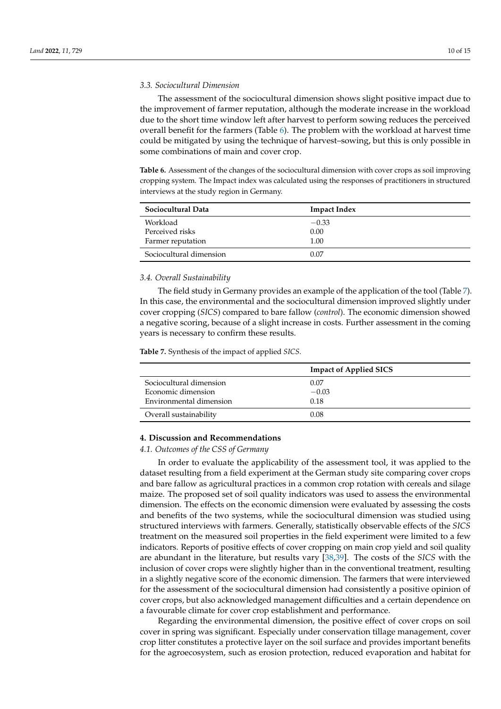#### *3.3. Sociocultural Dimension*

The assessment of the sociocultural dimension shows slight positive impact due to the improvement of farmer reputation, although the moderate increase in the workload due to the short time window left after harvest to perform sowing reduces the perceived overall benefit for the farmers (Table [6\)](#page-9-0). The problem with the workload at harvest time could be mitigated by using the technique of harvest–sowing, but this is only possible in some combinations of main and cover crop.

<span id="page-9-0"></span>**Table 6.** Assessment of the changes of the sociocultural dimension with cover crops as soil improving cropping system. The Impact index was calculated using the responses of practitioners in structured interviews at the study region in Germany.

| Sociocultural Data      | <b>Impact Index</b> |  |
|-------------------------|---------------------|--|
| Workload                | $-0.33$             |  |
| Perceived risks         | 0.00                |  |
| Farmer reputation       | 1.00                |  |
| Sociocultural dimension | 0.07                |  |

#### *3.4. Overall Sustainability*

The field study in Germany provides an example of the application of the tool (Table [7\)](#page-9-1). In this case, the environmental and the sociocultural dimension improved slightly under cover cropping (*SICS*) compared to bare fallow (*control*). The economic dimension showed a negative scoring, because of a slight increase in costs. Further assessment in the coming years is necessary to confirm these results.

<span id="page-9-1"></span>**Table 7.** Synthesis of the impact of applied *SICS*.

|                         | <b>Impact of Applied SICS</b> |
|-------------------------|-------------------------------|
| Sociocultural dimension | 0.07                          |
| Economic dimension      | $-0.03$                       |
| Environmental dimension | 0.18                          |
| Overall sustainability  | 0.08                          |

## **4. Discussion and Recommendations**

#### *4.1. Outcomes of the CSS of Germany*

In order to evaluate the applicability of the assessment tool, it was applied to the dataset resulting from a field experiment at the German study site comparing cover crops and bare fallow as agricultural practices in a common crop rotation with cereals and silage maize. The proposed set of soil quality indicators was used to assess the environmental dimension. The effects on the economic dimension were evaluated by assessing the costs and benefits of the two systems, while the sociocultural dimension was studied using structured interviews with farmers. Generally, statistically observable effects of the *SICS* treatment on the measured soil properties in the field experiment were limited to a few indicators. Reports of positive effects of cover cropping on main crop yield and soil quality are abundant in the literature, but results vary [\[38](#page-14-8)[,39\]](#page-14-9). The costs of the *SICS* with the inclusion of cover crops were slightly higher than in the conventional treatment, resulting in a slightly negative score of the economic dimension. The farmers that were interviewed for the assessment of the sociocultural dimension had consistently a positive opinion of cover crops, but also acknowledged management difficulties and a certain dependence on a favourable climate for cover crop establishment and performance.

Regarding the environmental dimension, the positive effect of cover crops on soil cover in spring was significant. Especially under conservation tillage management, cover crop litter constitutes a protective layer on the soil surface and provides important benefits for the agroecosystem, such as erosion protection, reduced evaporation and habitat for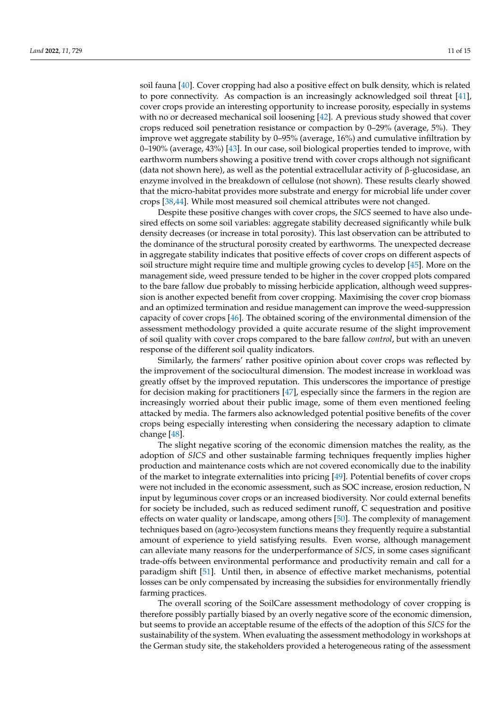soil fauna [\[40\]](#page-14-10). Cover cropping had also a positive effect on bulk density, which is related to pore connectivity. As compaction is an increasingly acknowledged soil threat [\[41\]](#page-14-11), cover crops provide an interesting opportunity to increase porosity, especially in systems with no or decreased mechanical soil loosening [\[42\]](#page-14-12). A previous study showed that cover crops reduced soil penetration resistance or compaction by 0–29% (average, 5%). They improve wet aggregate stability by 0–95% (average, 16%) and cumulative infiltration by 0–190% (average, 43%) [\[43\]](#page-14-13). In our case, soil biological properties tended to improve, with earthworm numbers showing a positive trend with cover crops although not significant (data not shown here), as well as the potential extracellular activity of β-glucosidase, an enzyme involved in the breakdown of cellulose (not shown). These results clearly showed that the micro-habitat provides more substrate and energy for microbial life under cover crops [\[38](#page-14-8)[,44\]](#page-14-14). While most measured soil chemical attributes were not changed.

Despite these positive changes with cover crops, the *SICS* seemed to have also undesired effects on some soil variables: aggregate stability decreased significantly while bulk density decreases (or increase in total porosity). This last observation can be attributed to the dominance of the structural porosity created by earthworms. The unexpected decrease in aggregate stability indicates that positive effects of cover crops on different aspects of soil structure might require time and multiple growing cycles to develop [\[45\]](#page-14-15). More on the management side, weed pressure tended to be higher in the cover cropped plots compared to the bare fallow due probably to missing herbicide application, although weed suppression is another expected benefit from cover cropping. Maximising the cover crop biomass and an optimized termination and residue management can improve the weed-suppression capacity of cover crops [\[46\]](#page-14-16). The obtained scoring of the environmental dimension of the assessment methodology provided a quite accurate resume of the slight improvement of soil quality with cover crops compared to the bare fallow *control*, but with an uneven response of the different soil quality indicators.

Similarly, the farmers' rather positive opinion about cover crops was reflected by the improvement of the sociocultural dimension. The modest increase in workload was greatly offset by the improved reputation. This underscores the importance of prestige for decision making for practitioners [\[47\]](#page-14-17), especially since the farmers in the region are increasingly worried about their public image, some of them even mentioned feeling attacked by media. The farmers also acknowledged potential positive benefits of the cover crops being especially interesting when considering the necessary adaption to climate change [\[48\]](#page-14-18).

The slight negative scoring of the economic dimension matches the reality, as the adoption of *SICS* and other sustainable farming techniques frequently implies higher production and maintenance costs which are not covered economically due to the inability of the market to integrate externalities into pricing [\[49\]](#page-14-19). Potential benefits of cover crops were not included in the economic assessment, such as SOC increase, erosion reduction, N input by leguminous cover crops or an increased biodiversity. Nor could external benefits for society be included, such as reduced sediment runoff, C sequestration and positive effects on water quality or landscape, among others [\[50\]](#page-14-20). The complexity of management techniques based on (agro-)ecosystem functions means they frequently require a substantial amount of experience to yield satisfying results. Even worse, although management can alleviate many reasons for the underperformance of *SICS*, in some cases significant trade-offs between environmental performance and productivity remain and call for a paradigm shift [\[51\]](#page-14-21). Until then, in absence of effective market mechanisms, potential losses can be only compensated by increasing the subsidies for environmentally friendly farming practices.

The overall scoring of the SoilCare assessment methodology of cover cropping is therefore possibly partially biased by an overly negative score of the economic dimension, but seems to provide an acceptable resume of the effects of the adoption of this *SICS* for the sustainability of the system. When evaluating the assessment methodology in workshops at the German study site, the stakeholders provided a heterogeneous rating of the assessment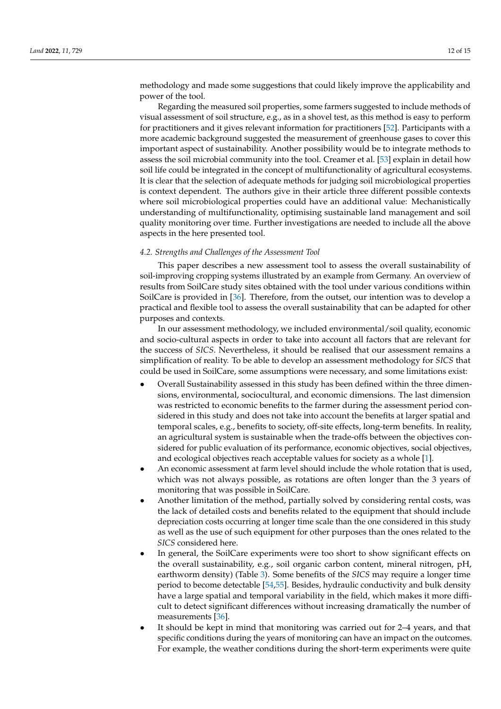methodology and made some suggestions that could likely improve the applicability and power of the tool.

Regarding the measured soil properties, some farmers suggested to include methods of visual assessment of soil structure, e.g., as in a shovel test, as this method is easy to perform for practitioners and it gives relevant information for practitioners [\[52\]](#page-14-22). Participants with a more academic background suggested the measurement of greenhouse gases to cover this important aspect of sustainability. Another possibility would be to integrate methods to assess the soil microbial community into the tool. Creamer et al. [\[53\]](#page-14-23) explain in detail how soil life could be integrated in the concept of multifunctionality of agricultural ecosystems. It is clear that the selection of adequate methods for judging soil microbiological properties is context dependent. The authors give in their article three different possible contexts where soil microbiological properties could have an additional value: Mechanistically understanding of multifunctionality, optimising sustainable land management and soil quality monitoring over time. Further investigations are needed to include all the above aspects in the here presented tool.

## *4.2. Strengths and Challenges of the Assessment Tool*

This paper describes a new assessment tool to assess the overall sustainability of soil-improving cropping systems illustrated by an example from Germany. An overview of results from SoilCare study sites obtained with the tool under various conditions within SoilCare is provided in [\[36\]](#page-14-6). Therefore, from the outset, our intention was to develop a practical and flexible tool to assess the overall sustainability that can be adapted for other purposes and contexts.

In our assessment methodology, we included environmental/soil quality, economic and socio-cultural aspects in order to take into account all factors that are relevant for the success of *SICS*. Nevertheless, it should be realised that our assessment remains a simplification of reality. To be able to develop an assessment methodology for *SICS* that could be used in SoilCare, some assumptions were necessary, and some limitations exist:

- Overall Sustainability assessed in this study has been defined within the three dimensions, environmental, sociocultural, and economic dimensions. The last dimension was restricted to economic benefits to the farmer during the assessment period considered in this study and does not take into account the benefits at larger spatial and temporal scales, e.g., benefits to society, off-site effects, long-term benefits. In reality, an agricultural system is sustainable when the trade-offs between the objectives considered for public evaluation of its performance, economic objectives, social objectives, and ecological objectives reach acceptable values for society as a whole [\[1\]](#page-13-0).
- An economic assessment at farm level should include the whole rotation that is used, which was not always possible, as rotations are often longer than the 3 years of monitoring that was possible in SoilCare.
- Another limitation of the method, partially solved by considering rental costs, was the lack of detailed costs and benefits related to the equipment that should include depreciation costs occurring at longer time scale than the one considered in this study as well as the use of such equipment for other purposes than the ones related to the *SICS* considered here.
- In general, the SoilCare experiments were too short to show significant effects on the overall sustainability, e.g., soil organic carbon content, mineral nitrogen, pH, earthworm density) (Table [3\)](#page-8-0). Some benefits of the *SICS* may require a longer time period to become detectable [\[54,](#page-14-24)[55\]](#page-14-25). Besides, hydraulic conductivity and bulk density have a large spatial and temporal variability in the field, which makes it more difficult to detect significant differences without increasing dramatically the number of measurements [\[36\]](#page-14-6).
- It should be kept in mind that monitoring was carried out for 2–4 years, and that specific conditions during the years of monitoring can have an impact on the outcomes. For example, the weather conditions during the short-term experiments were quite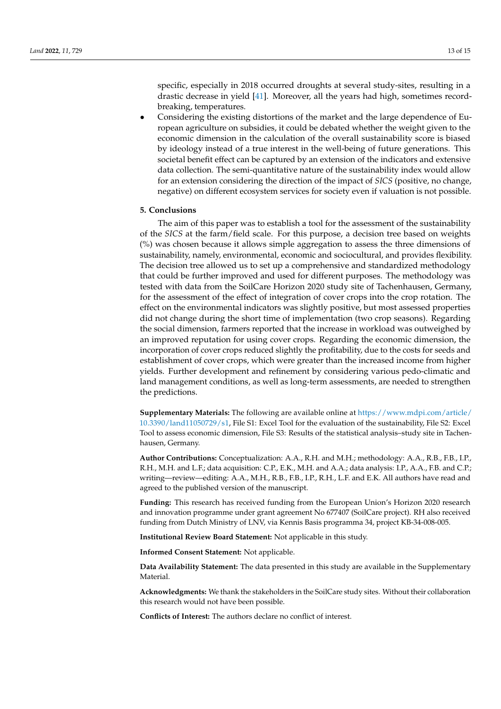specific, especially in 2018 occurred droughts at several study-sites, resulting in a drastic decrease in yield [\[41\]](#page-14-11). Moreover, all the years had high, sometimes recordbreaking, temperatures.

• Considering the existing distortions of the market and the large dependence of European agriculture on subsidies, it could be debated whether the weight given to the economic dimension in the calculation of the overall sustainability score is biased by ideology instead of a true interest in the well-being of future generations. This societal benefit effect can be captured by an extension of the indicators and extensive data collection. The semi-quantitative nature of the sustainability index would allow for an extension considering the direction of the impact of *SICS* (positive, no change, negative) on different ecosystem services for society even if valuation is not possible.

### **5. Conclusions**

The aim of this paper was to establish a tool for the assessment of the sustainability of the *SICS* at the farm/field scale. For this purpose, a decision tree based on weights (%) was chosen because it allows simple aggregation to assess the three dimensions of sustainability, namely, environmental, economic and sociocultural, and provides flexibility. The decision tree allowed us to set up a comprehensive and standardized methodology that could be further improved and used for different purposes. The methodology was tested with data from the SoilCare Horizon 2020 study site of Tachenhausen, Germany, for the assessment of the effect of integration of cover crops into the crop rotation. The effect on the environmental indicators was slightly positive, but most assessed properties did not change during the short time of implementation (two crop seasons). Regarding the social dimension, farmers reported that the increase in workload was outweighed by an improved reputation for using cover crops. Regarding the economic dimension, the incorporation of cover crops reduced slightly the profitability, due to the costs for seeds and establishment of cover crops, which were greater than the increased income from higher yields. Further development and refinement by considering various pedo-climatic and land management conditions, as well as long-term assessments, are needed to strengthen the predictions.

**Supplementary Materials:** The following are available online at [https://www.mdpi.com/article/](https://www.mdpi.com/article/10.3390/land11050729/s1) [10.3390/land11050729/s1,](https://www.mdpi.com/article/10.3390/land11050729/s1) File S1: Excel Tool for the evaluation of the sustainability, File S2: Excel Tool to assess economic dimension, File S3: Results of the statistical analysis–study site in Tachenhausen, Germany.

**Author Contributions:** Conceptualization: A.A., R.H. and M.H.; methodology: A.A., R.B., F.B., I.P., R.H., M.H. and L.F.; data acquisition: C.P., E.K., M.H. and A.A.; data analysis: I.P., A.A., F.B. and C.P.; writing—review—editing: A.A., M.H., R.B., F.B., I.P., R.H., L.F. and E.K. All authors have read and agreed to the published version of the manuscript.

**Funding:** This research has received funding from the European Union's Horizon 2020 research and innovation programme under grant agreement No 677407 (SoilCare project). RH also received funding from Dutch Ministry of LNV, via Kennis Basis programma 34, project KB-34-008-005.

**Institutional Review Board Statement:** Not applicable in this study.

**Informed Consent Statement:** Not applicable.

**Data Availability Statement:** The data presented in this study are available in the Supplementary Material.

**Acknowledgments:** We thank the stakeholders in the SoilCare study sites. Without their collaboration this research would not have been possible.

**Conflicts of Interest:** The authors declare no conflict of interest.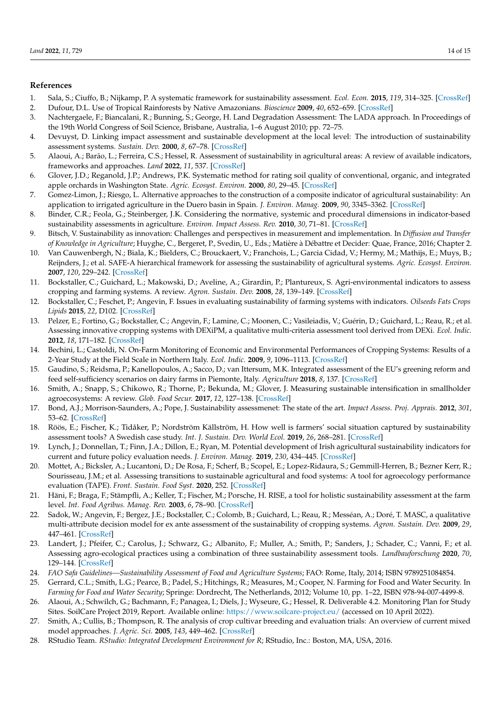## **References**

- <span id="page-13-0"></span>1. Sala, S.; Ciuffo, B.; Nijkamp, P. A systematic framework for sustainability assessment. *Ecol. Econ.* **2015**, *119*, 314–325. [\[CrossRef\]](http://doi.org/10.1016/j.ecolecon.2015.09.015)
- <span id="page-13-1"></span>2. Dufour, D.L. Use of Tropical Rainforests by Native Amazonians. *Bioscience* **2009**, *40*, 652–659. [\[CrossRef\]](http://doi.org/10.2307/1311432)
- <span id="page-13-2"></span>3. Nachtergaele, F.; Biancalani, R.; Bunning, S.; George, H. Land Degradation Assessment: The LADA approach. In Proceedings of the 19th World Congress of Soil Science, Brisbane, Australia, 1–6 August 2010; pp. 72–75.
- <span id="page-13-3"></span>4. Devuyst, D. Linking impact assessment and sustainable development at the local level: The introduction of sustainability assessment systems. *Sustain. Dev.* **2000**, *8*, 67–78. [\[CrossRef\]](http://doi.org/10.1002/(SICI)1099-1719(200005)8:2<67::AID-SD131>3.0.CO;2-X)
- <span id="page-13-4"></span>5. Alaoui, A.; Barão, L.; Ferreira, C.S.; Hessel, R. Assessment of sustainability in agricultural areas: A review of available indicators, frameworks and approaches. *Land* **2022**, *11*, 537. [\[CrossRef\]](http://doi.org/10.3390/land11040537)
- <span id="page-13-5"></span>6. Glover, J.D.; Reganold, J.P.; Andrews, P.K. Systematic method for rating soil quality of conventional, organic, and integrated apple orchards in Washington State. *Agric. Ecosyst. Environ.* **2000**, *80*, 29–45. [\[CrossRef\]](http://doi.org/10.1016/S0167-8809(00)00131-6)
- <span id="page-13-6"></span>7. Gomez-Limon, J.; Riesgo, L. Alternative approaches to the construction of a composite indicator of agricultural sustainability: An application to irrigated agriculture in the Duero basin in Spain. *J. Environ. Manag.* **2009**, *90*, 3345–3362. [\[CrossRef\]](http://doi.org/10.1016/j.jenvman.2009.05.023)
- 8. Binder, C.R.; Feola, G.; Steinberger, J.K. Considering the normative, systemic and procedural dimensions in indicator-based sustainability assessments in agriculture. *Environ. Impact Assess. Rev.* **2010**, *30*, 71–81. [\[CrossRef\]](http://doi.org/10.1016/j.eiar.2009.06.002)
- <span id="page-13-7"></span>9. Bitsch, V. Sustainability as innovation: Challenges and perspectives in measurement and implementation. In *Diffusion and Transfer of Knowledge in Agriculture*; Huyghe, C., Bergeret, P., Svedin, U., Eds.; Matière à Débattre et Decider: Quae, France, 2016; Chapter 2.
- <span id="page-13-8"></span>10. Van Cauwenbergh, N.; Biala, K.; Bielders, C.; Brouckaert, V.; Franchois, L.; Garcia Cidad, V.; Hermy, M.; Mathijs, E.; Muys, B.; Reijnders, J.; et al. SAFE-A hierarchical framework for assessing the sustainability of agricultural systems. *Agric. Ecosyst. Environ.* **2007**, *120*, 229–242. [\[CrossRef\]](http://doi.org/10.1016/j.agee.2006.09.006)
- <span id="page-13-9"></span>11. Bockstaller, C.; Guichard, L.; Makowski, D.; Aveline, A.; Girardin, P.; Plantureux, S. Agri-environmental indicators to assess cropping and farming systems. A review. *Agron. Sustain. Dev.* **2008**, *28*, 139–149. [\[CrossRef\]](http://doi.org/10.1051/agro:2007052)
- 12. Bockstaller, C.; Feschet, P.; Angevin, F. Issues in evaluating sustainability of farming systems with indicators. *Oilseeds Fats Crops Lipids* **2015**, *22*, D102. [\[CrossRef\]](http://doi.org/10.1051/ocl/2014052)
- <span id="page-13-10"></span>13. Pelzer, E.; Fortino, G.; Bockstaller, C.; Angevin, F.; Lamine, C.; Moonen, C.; Vasileiadis, V.; Guérin, D.; Guichard, L.; Reau, R.; et al. Assessing innovative cropping systems with DEXiPM, a qualitative multi-criteria assessment tool derived from DEXi. *Ecol. Indic.* **2012**, *18*, 171–182. [\[CrossRef\]](http://doi.org/10.1016/j.ecolind.2011.11.019)
- <span id="page-13-11"></span>14. Bechini, L.; Castoldi, N. On-Farm Monitoring of Economic and Environmental Performances of Cropping Systems: Results of a 2-Year Study at the Field Scale in Northern Italy. *Ecol. Indic.* **2009**, *9*, 1096–1113. [\[CrossRef\]](http://doi.org/10.1016/j.ecolind.2008.12.008)
- 15. Gaudino, S.; Reidsma, P.; Kanellopoulos, A.; Sacco, D.; van Ittersum, M.K. Integrated assessment of the EU's greening reform and feed self-sufficiency scenarios on dairy farms in Piemonte, Italy. *Agriculture* **2018**, *8*, 137. [\[CrossRef\]](http://doi.org/10.3390/agriculture8090137)
- <span id="page-13-12"></span>16. Smith, A.; Snapp, S.; Chikowo, R.; Thorne, P.; Bekunda, M.; Glover, J. Measuring sustainable intensification in smallholder agroecosystems: A review. *Glob. Food Secur.* **2017**, *12*, 127–138. [\[CrossRef\]](http://doi.org/10.1016/j.gfs.2016.11.002)
- <span id="page-13-13"></span>17. Bond, A.J.; Morrison-Saunders, A.; Pope, J. Sustainability assessmenet: The state of the art. *Impact Assess. Proj. Apprais.* **2012**, *301*, 53–62. [\[CrossRef\]](http://doi.org/10.1080/14615517.2012.661974)
- <span id="page-13-14"></span>18. Röös, E.; Fischer, K.; Tidåker, P.; Nordström Källström, H. How well is farmers' social situation captured by sustainability assessment tools? A Swedish case study. *Int. J. Sustain. Dev. World Ecol.* **2019**, *26*, 268–281. [\[CrossRef\]](http://doi.org/10.1080/13504509.2018.1560371)
- 19. Lynch, J.; Donnellan, T.; Finn, J.A.; Dillon, E.; Ryan, M. Potential development of Irish agricultural sustainability indicators for current and future policy evaluation needs. *J. Environ. Manag.* **2019**, *230*, 434–445. [\[CrossRef\]](http://doi.org/10.1016/j.jenvman.2018.09.070)
- <span id="page-13-15"></span>20. Mottet, A.; Bicksler, A.; Lucantoni, D.; De Rosa, F.; Scherf, B.; Scopel, E.; Lopez-Ridaura, S.; Gemmill-Herren, B.; Bezner Kerr, R.; Sourisseau, J.M.; et al. Assessing transitions to sustainable agricultural and food systems: A tool for agroecology performance evaluation (TAPE). *Front. Sustain. Food Syst.* **2020**, 252. [\[CrossRef\]](http://doi.org/10.3389/fsufs.2020.579154)
- <span id="page-13-16"></span>21. Häni, F.; Braga, F.; Stämpfli, A.; Keller, T.; Fischer, M.; Porsche, H. RISE, a tool for holistic sustainability assessment at the farm level. *Int. Food Agribus. Manag. Rev.* **2003**, *6*, 78–90. [\[CrossRef\]](http://doi.org/10.22004/ag.econ.34379)
- <span id="page-13-17"></span>22. Sadok, W.; Angevin, F.; Bergez, J.E.; Bockstaller, C.; Colomb, B.; Guichard, L.; Reau, R.; Messéan, A.; Doré, T. MASC, a qualitative multi-attribute decision model for ex ante assessment of the sustainability of cropping systems. *Agron. Sustain. Dev.* **2009**, *29*, 447–461. [\[CrossRef\]](http://doi.org/10.1051/agro/2009006)
- <span id="page-13-18"></span>23. Landert, J.; Pfeifer, C.; Carolus, J.; Schwarz, G.; Albanito, F.; Muller, A.; Smith, P.; Sanders, J.; Schader, C.; Vanni, F.; et al. Assessing agro-ecological practices using a combination of three sustainability assessment tools. *Landbauforschung* **2020**, *70*, 129–144. [\[CrossRef\]](http://doi.org/10.3220/LBF1612794225000)
- <span id="page-13-19"></span>24. *FAO Safa Guidelines—Sustainability Assessment of Food and Agriculture Systems*; FAO: Rome, Italy, 2014; ISBN 9789251084854.
- <span id="page-13-20"></span>25. Gerrard, C.L.; Smith, L.G.; Pearce, B.; Padel, S.; Hitchings, R.; Measures, M.; Cooper, N. Farming for Food and Water Security. In *Farming for Food and Water Security*; Springe: Dordrecht, The Netherlands, 2012; Volume 10, pp. 1–22, ISBN 978-94-007-4499-8.
- <span id="page-13-21"></span>26. Alaoui, A.; Schwilch, G.; Bachmann, F.; Panagea, I.; Diels, J.; Wyseure, G.; Hessel, R. Deliverable 4.2. Monitoring Plan for Study Sites. SoilCare Project 2019, Report. Available online: <https://www.soilcare-project.eu/> (accessed on 10 April 2022).
- <span id="page-13-22"></span>27. Smith, A.; Cullis, B.; Thompson, R. The analysis of crop cultivar breeding and evaluation trials: An overview of current mixed model approaches. *J. Agric. Sci.* **2005**, *143*, 449–462. [\[CrossRef\]](http://doi.org/10.1017/S0021859605005587)
- <span id="page-13-23"></span>28. RStudio Team. *RStudio: Integrated Development Environment for R*; RStudio, Inc.: Boston, MA, USA, 2016.